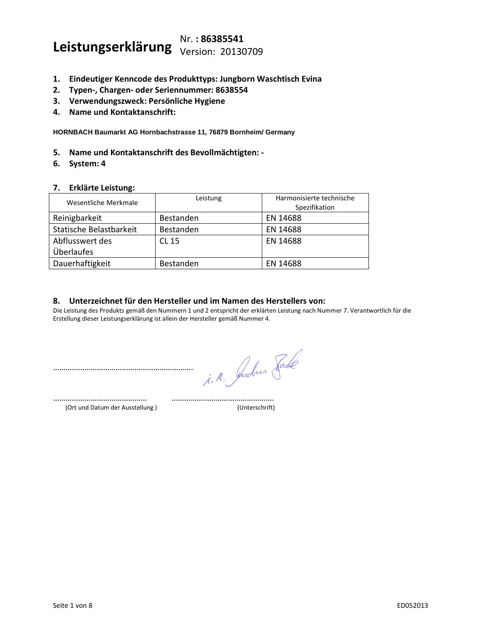# **Leistungserklärung** Nr. **: <sup>86385541</sup>**  Version: 20130709

- **1. Eindeutiger Kenncode des Produkttyps: Jungborn Waschtisch Evina**
- **2. Typen-, Chargen- oder Seriennummer: 8638554**
- **3. Verwendungszweck: Persönliche Hygiene**
- **4. Name und Kontaktanschrift:**

**HORNBACH Baumarkt AG Hornbachstrasse 11, 76879 Bornheim/ Germany**

- **5. Name und Kontaktanschrift des Bevollmächtigten: -**
- **6. System: 4**

#### **7. Erklärte Leistung:**

| Wesentliche Merkmale    | Leistung  | Harmonisierte technische<br>Spezifikation |
|-------------------------|-----------|-------------------------------------------|
| Reinigbarkeit           | Bestanden | EN 14688                                  |
| Statische Belastbarkeit | Bestanden | EN 14688                                  |
| Abflusswert des         | CL 15     | EN 14688                                  |
| <b>Überlaufes</b>       |           |                                           |
| Dauerhaftigkeit         | Bestanden | EN 14688                                  |

## **8. Unterzeichnet für den Hersteller und im Namen des Herstellers von:**

Die Leistung des Produkts gemäß den Nummern 1 und 2 entspricht der erklärten Leistung nach Nummer 7. Verantwortlich für die Erstellung dieser Leistungserklärung ist allein der Hersteller gemäß Nummer 4.

……………………………………… ………………………………………….

……………………………………………………………………………………………

(Ort und Datum der Ausstellung ) (Unterschrift)

i. A. Juden Fade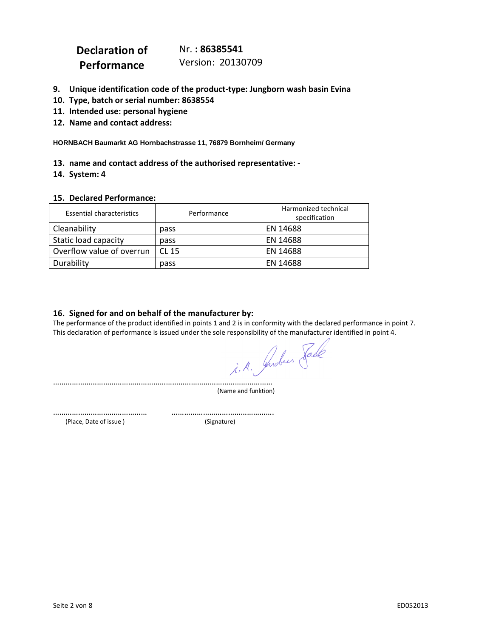| Declaration of | Nr.: 86385541     |
|----------------|-------------------|
| Performance    | Version: 20130709 |

- **9. Unique identification code of the product-type: Jungborn wash basin Evina**
- **10. Type, batch or serial number: 8638554**
- **11. Intended use: personal hygiene**
- **12. Name and contact address:**

**HORNBACH Baumarkt AG Hornbachstrasse 11, 76879 Bornheim/ Germany**

#### **13. name and contact address of the authorised representative: -**

**14. System: 4**

#### **15. Declared Performance:**

| <b>Essential characteristics</b> | Performance      | Harmonized technical<br>specification |
|----------------------------------|------------------|---------------------------------------|
| Cleanability                     | pass             | EN 14688                              |
| Static load capacity             | pass             | EN 14688                              |
| Overflow value of overrun        | CL <sub>15</sub> | EN 14688                              |
| Durability                       | pass             | EN 14688                              |

## **16. Signed for and on behalf of the manufacturer by:**

The performance of the product identified in points 1 and 2 is in conformity with the declared performance in point 7. This declaration of performance is issued under the sole responsibility of the manufacturer identified in point 4.

……………………………………………………………………………………………

(Name and funktion)

……………………………………… …………………………………………. (Place, Date of issue ) (Signature)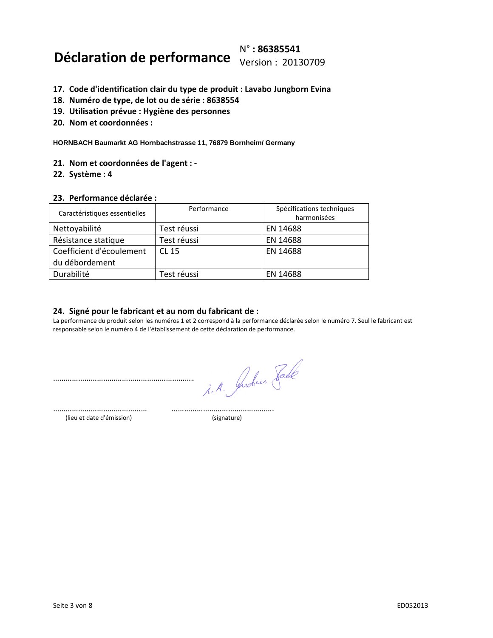# **Déclaration de performance** N° **: 86385541**  Version : 20130709

- **17. Code d'identification clair du type de produit : Lavabo Jungborn Evina**
- **18. Numéro de type, de lot ou de série : 8638554**
- **19. Utilisation prévue : Hygiène des personnes**
- **20. Nom et coordonnées :**

**HORNBACH Baumarkt AG Hornbachstrasse 11, 76879 Bornheim/ Germany**

- **21. Nom et coordonnées de l'agent : -**
- **22. Système : 4**

#### **23. Performance déclarée :**

| Caractéristiques essentielles | Performance | Spécifications techniques<br>harmonisées |
|-------------------------------|-------------|------------------------------------------|
| Nettoyabilité                 | Test réussi | EN 14688                                 |
| Résistance statique           | Test réussi | EN 14688                                 |
| Coefficient d'écoulement      | CL 15       | EN 14688                                 |
| du débordement                |             |                                          |
| Durabilité                    | Test réussi | EN 14688                                 |

### **24. Signé pour le fabricant et au nom du fabricant de :**

La performance du produit selon les numéros 1 et 2 correspond à la performance déclarée selon le numéro 7. Seul le fabricant est responsable selon le numéro 4 de l'établissement de cette déclaration de performance.

……………………………………………………………………………………………

i. A. Juden Fade

……………………………………… …………………………………………. (lieu et date d'émission) (signature)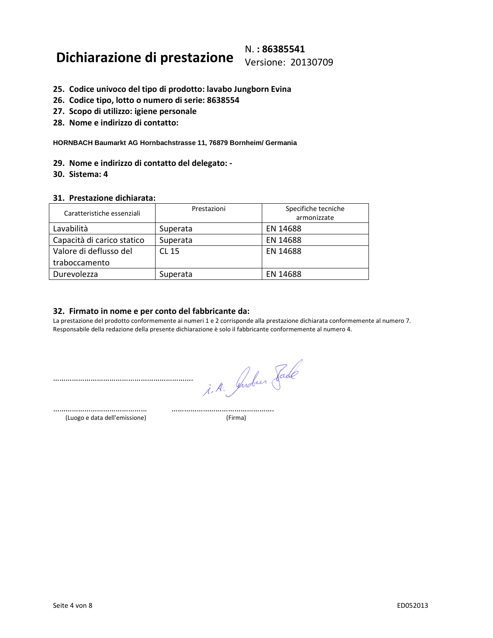## **Dichiarazione di prestazione** N. **: 86385541**  Versione: 20130709

- **25. Codice univoco del tipo di prodotto: lavabo Jungborn Evina**
- **26. Codice tipo, lotto o numero di serie: 8638554**
- **27. Scopo di utilizzo: igiene personale**
- **28. Nome e indirizzo di contatto:**

**HORNBACH Baumarkt AG Hornbachstrasse 11, 76879 Bornheim/ Germania**

**29. Nome e indirizzo di contatto del delegato: -**

**30. Sistema: 4**

#### **31. Prestazione dichiarata:**

| Caratteristiche essenziali | Prestazioni | Specifiche tecniche |
|----------------------------|-------------|---------------------|
|                            |             | armonizzate         |
| Lavabilità                 | Superata    | EN 14688            |
| Capacità di carico statico | Superata    | EN 14688            |
| Valore di deflusso del     | CL 15       | EN 14688            |
| traboccamento              |             |                     |
| Durevolezza                | Superata    | EN 14688            |

### **32. Firmato in nome e per conto del fabbricante da:**

La prestazione del prodotto conformemente ai numeri 1 e 2 corrisponde alla prestazione dichiarata conformemente al numero 7. Responsabile della redazione della presente dichiarazione è solo il fabbricante conformemente al numero 4.

…………………………………………………………………………………………… i. A. Judies Fade

……………………………………… …………………………………………. (Luogo e data dell'emissione) (Firma)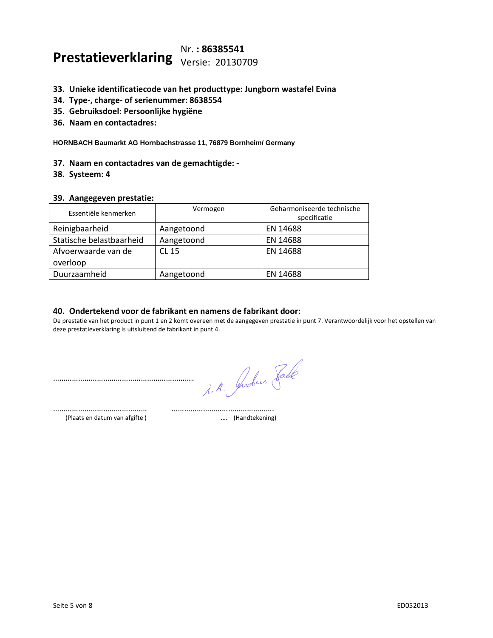# **Prestatieverklaring** Nr. **: 86385541**  Versie: 20130709

- **33. Unieke identificatiecode van het producttype: Jungborn wastafel Evina**
- **34. Type-, charge- of serienummer: 8638554**
- **35. Gebruiksdoel: Persoonlijke hygiëne**
- **36. Naam en contactadres:**

**HORNBACH Baumarkt AG Hornbachstrasse 11, 76879 Bornheim/ Germany**

- **37. Naam en contactadres van de gemachtigde: -**
- **38. Systeem: 4**

#### **39. Aangegeven prestatie:**

| Essentiële kenmerken     | Vermogen   | Geharmoniseerde technische<br>specificatie |
|--------------------------|------------|--------------------------------------------|
| Reinigbaarheid           | Aangetoond | EN 14688                                   |
| Statische belastbaarheid | Aangetoond | EN 14688                                   |
| Afvoerwaarde van de      | CL 15      | EN 14688                                   |
| overloop                 |            |                                            |
| Duurzaamheid             | Aangetoond | EN 14688                                   |

## **40. Ondertekend voor de fabrikant en namens de fabrikant door:**

……………………………………… ………………………………………….

De prestatie van het product in punt 1 en 2 komt overeen met de aangegeven prestatie in punt 7. Verantwoordelijk voor het opstellen van deze prestatieverklaring is uitsluitend de fabrikant in punt 4.

…………………………………………………………………………………………… i. A. Juden Fade

(Plaats en datum van afgifte ) .... (Handtekening)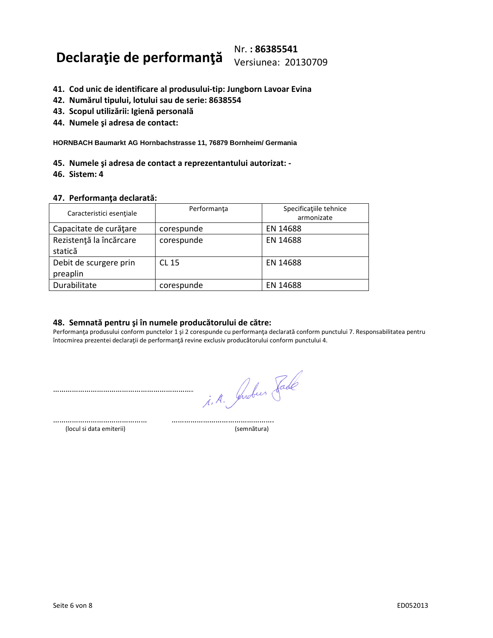## **Declaraţie de performanţă** Nr. **: 86385541**  Versiunea: 20130709

- **41. Cod unic de identificare al produsului-tip: Jungborn Lavoar Evina**
- **42. Numărul tipului, lotului sau de serie: 8638554**
- **43. Scopul utilizării: Igienă personală**
- **44. Numele şi adresa de contact:**

**HORNBACH Baumarkt AG Hornbachstrasse 11, 76879 Bornheim/ Germania**

- **45. Numele şi adresa de contact a reprezentantului autorizat: -**
- **46. Sistem: 4**

#### **47. Performanţa declarată:**

| Caracteristici esențiale           | Performanța  | Specificațiile tehnice<br>armonizate |
|------------------------------------|--------------|--------------------------------------|
| Capacitate de curățare             | corespunde   | EN 14688                             |
| Rezistență la încărcare<br>statică | corespunde   | EN 14688                             |
| Debit de scurgere prin<br>preaplin | <b>CL 15</b> | EN 14688                             |
| Durabilitate                       | corespunde   | EN 14688                             |

### **48. Semnată pentru şi în numele producătorului de către:**

Performanţa produsului conform punctelor 1 şi 2 corespunde cu performanţa declarată conform punctului 7. Responsabilitatea pentru întocmirea prezentei declaraţii de performanţă revine exclusiv producătorului conform punctului 4.

i. A. Juber Jade

……………………………………… …………………………………………. (locul si data emiterii) (semnătura)

……………………………………………………………………………………………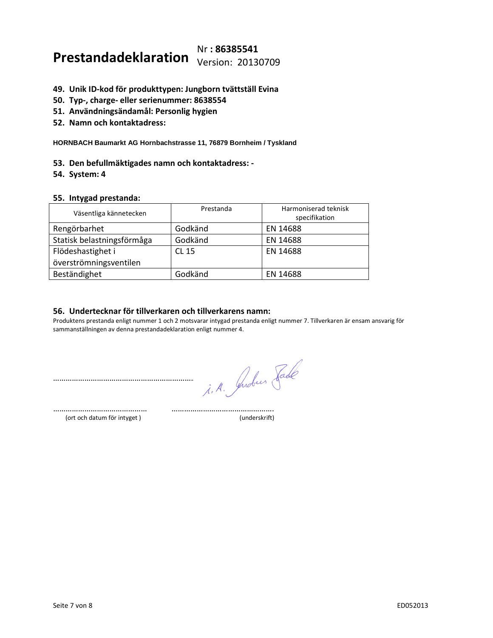# **Prestandadeklaration** Nr **: 86385541**  Version: 20130709

- **49. Unik ID-kod för produkttypen: Jungborn tvättställ Evina**
- **50. Typ-, charge- eller serienummer: 8638554**
- **51. Användningsändamål: Personlig hygien**
- **52. Namn och kontaktadress:**

**HORNBACH Baumarkt AG Hornbachstrasse 11, 76879 Bornheim / Tyskland**

- **53. Den befullmäktigades namn och kontaktadress: -**
- **54. System: 4**

#### **55. Intygad prestanda:**

| Väsentliga kännetecken     | Prestanda    | Harmoniserad teknisk<br>specifikation |
|----------------------------|--------------|---------------------------------------|
| Rengörbarhet               | Godkänd      | EN 14688                              |
| Statisk belastningsförmåga | Godkänd      | EN 14688                              |
| Flödeshastighet i          | <b>CL 15</b> | EN 14688                              |
| överströmningsventilen     |              |                                       |
| Beständighet               | Godkänd      | EN 14688                              |

### **56. Undertecknar för tillverkaren och tillverkarens namn:**

Produktens prestanda enligt nummer 1 och 2 motsvarar intygad prestanda enligt nummer 7. Tillverkaren är ensam ansvarig för sammanställningen av denna prestandadeklaration enligt nummer 4.

……………………………………………………………………………………………

i. A. Juden Fade

……………………………………… …………………………………………. (ort och datum för intyget ) (underskrift)